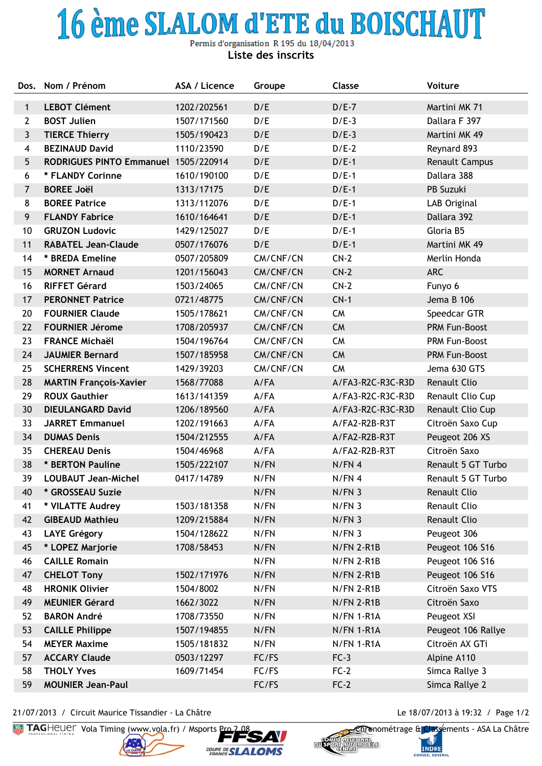## 16 ème SLALOM d'ETE du BOISCHAUT

Permis d'organisation R 195 du 18/04/2013 **Liste des inscrits**

| Dos.                    | Nom / Prénom                         | ASA / Licence | Groupe    | Classe            | Voiture              |
|-------------------------|--------------------------------------|---------------|-----------|-------------------|----------------------|
| $\mathbf{1}$            | <b>LEBOT Clément</b>                 | 1202/202561   | D/E       | $D/E-7$           | Martini MK 71        |
| $\overline{2}$          | <b>BOST Julien</b>                   | 1507/171560   | D/E       | $D/E-3$           | Dallara F 397        |
| $\mathbf{3}$            | <b>TIERCE Thierry</b>                | 1505/190423   | D/E       | $D/E-3$           | Martini MK 49        |
| $\overline{\mathbf{4}}$ | <b>BEZINAUD David</b>                | 1110/23590    | D/E       | $D/E-2$           | Reynard 893          |
| $5\phantom{.}$          | RODRIGUES PINTO Emmanuel 1505/220914 |               | D/E       | $D/E-1$           | Renault Campus       |
| 6                       | * FLANDY Corinne                     | 1610/190100   | D/E       | $D/E-1$           | Dallara 388          |
| $\overline{7}$          | <b>BOREE Joël</b>                    | 1313/17175    | D/E       | $D/E-1$           | PB Suzuki            |
| 8                       | <b>BOREE Patrice</b>                 | 1313/112076   | D/E       | $D/E-1$           | LAB Original         |
| 9                       | <b>FLANDY Fabrice</b>                | 1610/164641   | D/E       | $D/E-1$           | Dallara 392          |
| 10                      | <b>GRUZON Ludovic</b>                | 1429/125027   | D/E       | $D/E-1$           | Gloria B5            |
| 11                      | <b>RABATEL Jean-Claude</b>           | 0507/176076   | D/E       | $D/E-1$           | Martini MK 49        |
| 14                      | * BREDA Emeline                      | 0507/205809   | CM/CNF/CN | $CN-2$            | Merlin Honda         |
| 15                      | <b>MORNET Arnaud</b>                 | 1201/156043   | CM/CNF/CN | $CN-2$            | <b>ARC</b>           |
| 16                      | <b>RIFFET Gérard</b>                 | 1503/24065    | CM/CNF/CN | $CN-2$            | Funyo 6              |
| 17                      | <b>PERONNET Patrice</b>              | 0721/48775    | CM/CNF/CN | $CN-1$            | Jema B 106           |
| 20                      | <b>FOURNIER Claude</b>               | 1505/178621   | CM/CNF/CN | <b>CM</b>         | Speedcar GTR         |
| 22                      | <b>FOURNIER Jérome</b>               | 1708/205937   | CM/CNF/CN | <b>CM</b>         | <b>PRM Fun-Boost</b> |
| 23                      | <b>FRANCE Michaël</b>                | 1504/196764   | CM/CNF/CN | <b>CM</b>         | PRM Fun-Boost        |
| 24                      | <b>JAUMIER Bernard</b>               | 1507/185958   | CM/CNF/CN | <b>CM</b>         | PRM Fun-Boost        |
| 25                      | <b>SCHERRENS Vincent</b>             | 1429/39203    | CM/CNF/CN | <b>CM</b>         | Jema 630 GTS         |
| 28                      | <b>MARTIN François-Xavier</b>        | 1568/77088    | A/FA      | A/FA3-R2C-R3C-R3D | <b>Renault Clio</b>  |
| 29                      | <b>ROUX Gauthier</b>                 | 1613/141359   | A/FA      | A/FA3-R2C-R3C-R3D | Renault Clio Cup     |
| 30                      | <b>DIEULANGARD David</b>             | 1206/189560   | A/FA      | A/FA3-R2C-R3C-R3D | Renault Clio Cup     |
| 33                      | <b>JARRET Emmanuel</b>               | 1202/191663   | A/FA      | A/FA2-R2B-R3T     | Citroën Saxo Cup     |
| 34                      | <b>DUMAS Denis</b>                   | 1504/212555   | A/FA      | A/FA2-R2B-R3T     | Peugeot 206 XS       |
| 35                      | <b>CHEREAU Denis</b>                 | 1504/46968    | A/FA      | A/FA2-R2B-R3T     | Citroën Saxo         |
| 38                      | * BERTON Pauline                     | 1505/222107   | N/FN      | N/FN 4            | Renault 5 GT Turbo   |
| 39                      | <b>LOUBAUT Jean-Michel</b>           | 0417/14789    | N/FN      | N/FN 4            | Renault 5 GT Turbo   |
| 40                      | * GROSSEAU Suzie                     |               | N/FN      | N/FN <sub>3</sub> | Renault Clio         |
| 41                      | * VILATTE Audrey                     | 1503/181358   | N/FN      | N/FN <sub>3</sub> | Renault Clio         |
| 42                      | <b>GIBEAUD Mathieu</b>               | 1209/215884   | N/FN      | N/FN <sub>3</sub> | Renault Clio         |
| 43                      | <b>LAYE Grégory</b>                  | 1504/128622   | N/FN      | N/FN <sub>3</sub> | Peugeot 306          |
| 45                      | * LOPEZ Marjorie                     | 1708/58453    | N/FN      | N/FN 2-R1B        | Peugeot 106 S16      |
| 46                      | <b>CAILLE Romain</b>                 |               | N/FN      | N/FN 2-R1B        | Peugeot 106 S16      |
| 47                      | <b>CHELOT Tony</b>                   | 1502/171976   | N/FN      | $N/FN$ 2-R1B      | Peugeot 106 S16      |
| 48                      | <b>HRONIK Olivier</b>                | 1504/8002     | N/FN      | N/FN 2-R1B        | Citroën Saxo VTS     |
| 49                      | <b>MEUNIER Gérard</b>                | 1662/3022     | N/FN      | N/FN 2-R1B        | Citroën Saxo         |
| 52                      | <b>BARON André</b>                   | 1708/73550    | N/FN      | N/FN 1-R1A        | Peugeot XSI          |
| 53                      | <b>CAILLE Philippe</b>               | 1507/194855   | N/FN      | N/FN 1-R1A        | Peugeot 106 Rallye   |
| 54                      | <b>MEYER Maxime</b>                  | 1505/181832   | N/FN      | N/FN 1-R1A        | Citroën AX GTi       |
| 57                      | <b>ACCARY Claude</b>                 | 0503/12297    | FC/FS     | $FC-3$            | Alpine A110          |
| 58                      | <b>THOLY Yves</b>                    | 1609/71454    | FC/FS     | $FC-2$            | Simca Rallye 3       |
| 59                      | <b>MOUNIER Jean-Paul</b>             |               | FC/FS     | $FC-2$            | Simca Rallye 2       |

21/07/2013 / Circuit Maurice Tissandier - La Châtre Le 18/07/2013 à 19:32 / Page 1/2



COUPE DE SLA **LOMS** 



**INDRE CONSEIL GENI**  $50.11$